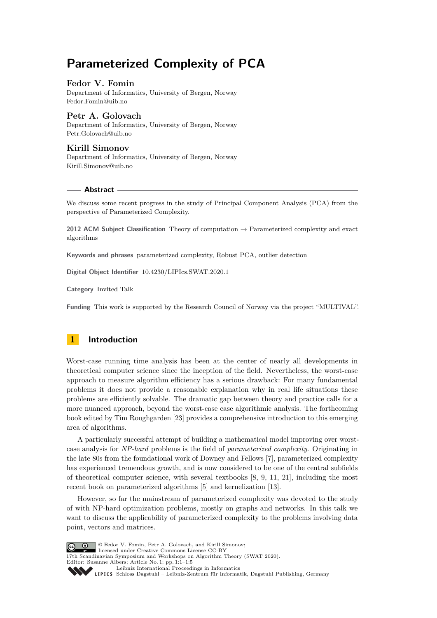# **Parameterized Complexity of PCA**

### **Fedor V. Fomin**

Department of Informatics, University of Bergen, Norway [Fedor.Fomin@uib.no](mailto:Fedor.Fomin@uib.no)

### **Petr A. Golovach**

Department of Informatics, University of Bergen, Norway [Petr.Golovach@uib.no](mailto:Petr.Golovach@uib.no)

### **Kirill Simonov**

Department of Informatics, University of Bergen, Norway [Kirill.Simonov@uib.no](mailto:Kirill.Simonov@uib.no)

### **Abstract**

We discuss some recent progress in the study of Principal Component Analysis (PCA) from the perspective of Parameterized Complexity.

**2012 ACM Subject Classification** Theory of computation → Parameterized complexity and exact algorithms

**Keywords and phrases** parameterized complexity, Robust PCA, outlier detection

**Digital Object Identifier** [10.4230/LIPIcs.SWAT.2020.1](https://doi.org/10.4230/LIPIcs.SWAT.2020.1)

**Category** Invited Talk

**Funding** This work is supported by the Research Council of Norway via the project "MULTIVAL".

# **1 Introduction**

Worst-case running time analysis has been at the center of nearly all developments in theoretical computer science since the inception of the field. Nevertheless, the worst-case approach to measure algorithm efficiency has a serious drawback: For many fundamental problems it does not provide a reasonable explanation why in real life situations these problems are efficiently solvable. The dramatic gap between theory and practice calls for a more nuanced approach, beyond the worst-case case algorithmic analysis. The forthcoming book edited by Tim Roughgarden [\[23\]](#page-4-0) provides a comprehensive introduction to this emerging area of algorithms.

A particularly successful attempt of building a mathematical model improving over worstcase analysis for *NP-hard* problems is the field of *parameterized complexity*. Originating in the late 80s from the foundational work of Downey and Fellows [\[7\]](#page-3-0), parameterized complexity has experienced tremendous growth, and is now considered to be one of the central subfields of theoretical computer science, with several textbooks [\[8,](#page-3-1) [9,](#page-3-2) [11,](#page-3-3) [21\]](#page-4-1), including the most recent book on parameterized algorithms [\[5\]](#page-3-4) and kernelization [\[13\]](#page-3-5).

However, so far the mainstream of parameterized complexity was devoted to the study of with NP-hard optimization problems, mostly on graphs and networks. In this talk we want to discuss the applicability of parameterized complexity to the problems involving data point, vectors and matrices.

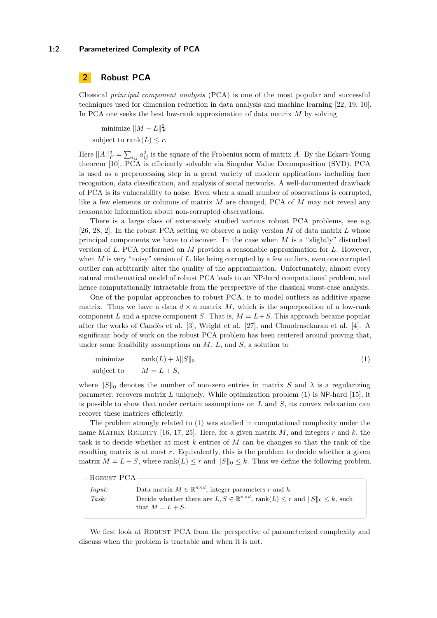### **1:2 Parameterized Complexity of PCA**

# **2 Robust PCA**

Classical *principal component analysis* (PCA) is one of the most popular and successful techniques used for dimension reduction in data analysis and machine learning [\[22,](#page-4-3) [19,](#page-3-6) [10\]](#page-3-7). In PCA one seeks the best low-rank approximation of data matrix *M* by solving

minimize  $||M - L||_F^2$ subject to rank $(L) \leq r$ .

Here  $||A||_F^2 = \sum_{i,j} a_{ij}^2$  is the square of the Frobenius norm of matrix *A*. By the Eckart-Young theorem [\[10\]](#page-3-7), PCA is efficiently solvable via Singular Value Decomposition (SVD). PCA is used as a preprocessing step in a great variety of modern applications including face recognition, data classification, and analysis of social networks. A well-documented drawback of PCA is its vulnerability to noise. Even when a small number of observations is corrupted, like a few elements or columns of matrix *M* are changed, PCA of *M* may not reveal any reasonable information about non-corrupted observations.

There is a large class of extensively studied various robust PCA problems, see e.g. [\[26,](#page-4-4) [28,](#page-4-5) [2\]](#page-3-8). In the robust PCA setting we observe a noisy version *M* of data matrix *L* whose principal components we have to discover. In the case when *M* is a "slightly" disturbed version of *L*, PCA performed on *M* provides a reasonable approximation for *L*. However, when *M* is very "noisy" version of *L*, like being corrupted by a few outliers, even one corrupted outlier can arbitrarily alter the quality of the approximation. Unfortunately, almost every natural mathematical model of robust PCA leads to an NP-hard computational problem, and hence computationally intractable from the perspective of the classical worst-case analysis.

One of the popular approaches to robust PCA, is to model outliers as additive sparse matrix. Thus we have a data  $d \times n$  matrix M, which is the superposition of a low-rank component *L* and a sparse component *S*. That is,  $M = L + S$ . This approach became popular after the works of Candès et al. [\[3\]](#page-3-9), Wright et al. [\[27\]](#page-4-6), and Chandrasekaran et al. [\[4\]](#page-3-10). A significant body of work on the robust PCA problem has been centered around proving that, under some feasibility assumptions on *M*, *L*, and *S*, a solution to

<span id="page-1-0"></span>
$$
\begin{array}{ll}\text{minimize} & \text{rank}(L) + \lambda \|S\|_0\\ \text{subject to} & M = L + S, \end{array} \tag{1}
$$

where  $||S||_0$  denotes the number of non-zero entries in matrix *S* and  $\lambda$  is a regularizing parameter, recovers matrix *L* uniquely. While optimization problem [\(1\)](#page-1-0) is NP-hard [\[15\]](#page-3-11), it is possible to show that under certain assumptions on *L* and *S*, its convex relaxation can recover these matrices efficiently.

The problem strongly related to [\(1\)](#page-1-0) was studied in computational complexity under the name MATRIX RIGIDITY [\[16,](#page-3-12) [17,](#page-3-13) [25\]](#page-4-7). Here, for a given matrix  $M$ , and integers  $r$  and  $k$ , the task is to decide whether at most *k* entries of *M* can be changes so that the rank of the resulting matrix is at most *r*. Equivalently, this is the problem to decide whether a given matrix  $M = L + S$ , where rank $(L) \leq r$  and  $||S||_0 \leq k$ . Thus we define the following problem.

| $\sim$ ROBUST PCA |                                                                                                             |
|-------------------|-------------------------------------------------------------------------------------------------------------|
| Input:            | Data matrix $M \in \mathbb{R}^{n \times d}$ , integer parameters r and k.                                   |
| Task:             | Decide whether there are $L, S \in \mathbb{R}^{n \times d}$ , rank $(L) \leq r$ and $  S  _0 \leq k$ , such |
|                   | that $M = L + S$ .                                                                                          |

We first look at ROBUST PCA from the perspective of parameterized complexity and discuss when the problem is tractable and when it is not.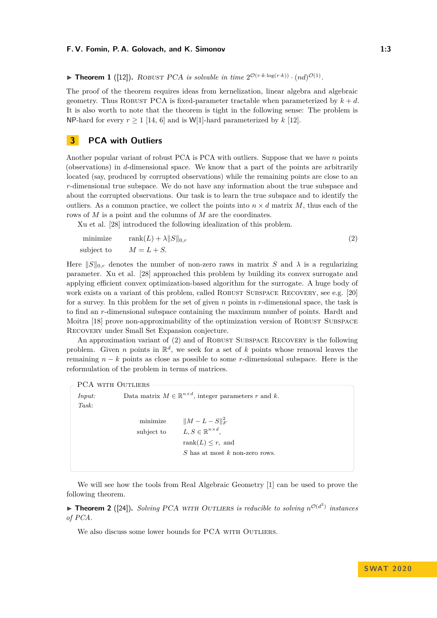#### **F. V. Fomin, P. A. Golovach, and K. Simonov 1:3**

**Find 1** ([\[12\]](#page-3-14)). ROBUST PCA is solvable in time  $2^{\mathcal{O}(r \cdot k \cdot \log(r \cdot k))} \cdot (nd)^{\mathcal{O}(1)}$ .

The proof of the theorem requires ideas from kernelization, linear algebra and algebraic geometry. Thus ROBUST PCA is fixed-parameter tractable when parameterized by  $k + d$ . It is also worth to note that the theorem is tight in the following sense: The problem is NP-hard for every  $r > 1$  [\[14,](#page-3-15) [6\]](#page-3-16) and is W[1]-hard parameterized by  $k$  [\[12\]](#page-3-14).

# **3 PCA with Outliers**

Another popular variant of robust PCA is PCA with outliers. Suppose that we have *n* points (observations) in *d*-dimensional space. We know that a part of the points are arbitrarily located (say, produced by corrupted observations) while the remaining points are close to an *r*-dimensional true subspace. We do not have any information about the true subspace and about the corrupted observations. Our task is to learn the true subspace and to identify the outliers. As a common practice, we collect the points into  $n \times d$  matrix *M*, thus each of the rows of *M* is a point and the columns of *M* are the coordinates.

Xu et al. [\[28\]](#page-4-5) introduced the following idealization of this problem.

<span id="page-2-0"></span>minimize 
$$
\text{rank}(L) + \lambda ||S||_{0,r}
$$
  
\nsubject to  $M = L + S$ . (2)

Here  $||S||_{0,r}$  denotes the number of non-zero raws in matrix *S* and  $\lambda$  is a regularizing parameter. Xu et al. [\[28\]](#page-4-5) approached this problem by building its convex surrogate and applying efficient convex optimization-based algorithm for the surrogate. A huge body of work exists on a variant of this problem, called ROBUST SUBSPACE RECOVERY, see e.g. [\[20\]](#page-3-17) for a survey. In this problem for the set of given *n* points in *r*-dimensional space, the task is to find an *r*-dimensional subspace containing the maximum number of points. Hardt and Moitra [\[18\]](#page-3-18) prove non-approximability of the optimization version of ROBUST SUBSPACE Recovery under Small Set Expansion conjecture.

An approximation variant of [\(2\)](#page-2-0) and of ROBUST SUBSPACE RECOVERY is the following problem. Given *n* points in  $\mathbb{R}^d$ , we seek for a set of *k* points whose removal leaves the remaining *n* − *k* points as close as possible to some *r*-dimensional subspace. Here is the reformulation of the problem in terms of matrices.

#### PCA WITH OUTLIERS

```
Input: Data matrix M \in \mathbb{R}^{n \times d}, integer parameters r and k.
Task:
                        \text{minimize} \quad ||M - L - S||_F^2subject to
                                                    n \times d,
                                         rank(L) \leq r, and
                                         S has at most k non-zero rows.
```
We will see how the tools from Real Algebraic Geometry [\[1\]](#page-3-19) can be used to prove the following theorem.

**Theorem 2** ([\[24\]](#page-4-8)). *Solving* PCA WITH OUTLIERS *is reducible to solving*  $n^{\mathcal{O}(d^2)}$  *instances of PCA.*

We also discuss some lower bounds for PCA WITH OUTLIERS.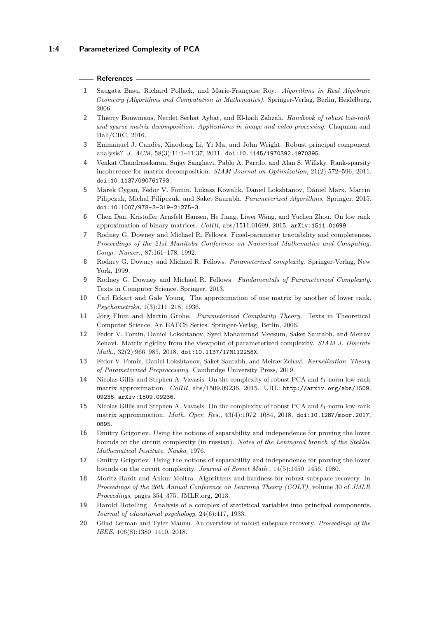#### **References**

- <span id="page-3-19"></span>**1** Saugata Basu, Richard Pollack, and Marie-Françoise Roy. *Algorithms in Real Algebraic Geometry (Algorithms and Computation in Mathematics)*. Springer-Verlag, Berlin, Heidelberg, 2006.
- <span id="page-3-8"></span>**2** Thierry Bouwmans, Necdet Serhat Aybat, and El-hadi Zahzah. *Handbook of robust low-rank and sparse matrix decomposition: Applications in image and video processing*. Chapman and Hall/CRC, 2016.
- <span id="page-3-9"></span>**3** Emmanuel J. Candès, Xiaodong Li, Yi Ma, and John Wright. Robust principal component analysis? *J. ACM*, 58(3):11:1–11:37, 2011. [doi:10.1145/1970392.1970395](http://dx.doi.org/10.1145/1970392.1970395).
- <span id="page-3-10"></span>**4** Venkat Chandrasekaran, Sujay Sanghavi, Pablo A. Parrilo, and Alan S. Willsky. Rank-sparsity incoherence for matrix decomposition. *SIAM Journal on Optimization*, 21(2):572–596, 2011. [doi:10.1137/090761793](http://dx.doi.org/10.1137/090761793).
- <span id="page-3-4"></span>**5** Marek Cygan, Fedor V. Fomin, Lukasz Kowalik, Daniel Lokshtanov, Dániel Marx, Marcin Pilipczuk, Michal Pilipczuk, and Saket Saurabh. *Parameterized Algorithms*. Springer, 2015. [doi:10.1007/978-3-319-21275-3](http://dx.doi.org/10.1007/978-3-319-21275-3).
- <span id="page-3-16"></span>**6** Chen Dan, Kristoffer Arnsfelt Hansen, He Jiang, Liwei Wang, and Yuchen Zhou. On low rank approximation of binary matrices. *CoRR*, abs/1511.01699, 2015. [arXiv:1511.01699](http://arxiv.org/abs/1511.01699).
- <span id="page-3-0"></span>**7** Rodney G. Downey and Michael R. Fellows. Fixed-parameter tractability and completeness. *Proceedings of the 21st Manitoba Conference on Numerical Mathematics and Computing. Congr. Numer.*, 87:161–178, 1992.
- <span id="page-3-1"></span>**8** Rodney G. Downey and Michael R. Fellows. *Parameterized complexity*. Springer-Verlag, New York, 1999.
- <span id="page-3-2"></span>**9** Rodney G. Downey and Michael R. Fellows. *Fundamentals of Parameterized Complexity*. Texts in Computer Science. Springer, 2013.
- <span id="page-3-7"></span>**10** Carl Eckart and Gale Young. The approximation of one matrix by another of lower rank. *Psychometrika*, 1(3):211–218, 1936.
- <span id="page-3-3"></span>**11** Jörg Flum and Martin Grohe. *Parameterized Complexity Theory*. Texts in Theoretical Computer Science. An EATCS Series. Springer-Verlag, Berlin, 2006.
- <span id="page-3-14"></span>**12** Fedor V. Fomin, Daniel Lokshtanov, Syed Mohammad Meesum, Saket Saurabh, and Meirav Zehavi. Matrix rigidity from the viewpoint of parameterized complexity. *SIAM J. Discrete Math.*, 32(2):966–985, 2018. [doi:10.1137/17M112258X](http://dx.doi.org/10.1137/17M112258X).
- <span id="page-3-5"></span>**13** Fedor V. Fomin, Daniel Lokshtanov, Saket Saurabh, and Meirav Zehavi. *Kernelization. Theory of Parameterized Preprocessing*. Cambridge University Press, 2019.
- <span id="page-3-15"></span>14 Nicolas Gillis and Stephen A. Vavasis. On the complexity of robust PCA and  $\ell_1$ -norm low-rank matrix approximation. *CoRR*, abs/1509.09236, 2015. URL: [http://arxiv.org/abs/1509.](http://arxiv.org/abs/1509.09236) [09236](http://arxiv.org/abs/1509.09236), [arXiv:1509.09236](http://arxiv.org/abs/1509.09236).
- <span id="page-3-11"></span>**15** Nicolas Gillis and Stephen A. Vavasis. On the complexity of robust PCA and *`*1-norm low-rank matrix approximation. *Math. Oper. Res.*, 43(4):1072–1084, 2018. [doi:10.1287/moor.2017.](http://dx.doi.org/10.1287/moor.2017.0895) [0895](http://dx.doi.org/10.1287/moor.2017.0895).
- <span id="page-3-12"></span>**16** Dmitry Grigoriev. Using the notions of separability and independence for proving the lower bounds on the circuit complexity (in russian). *Notes of the Leningrad branch of the Steklov Mathematical Institute, Nauka*, 1976.
- <span id="page-3-13"></span>**17** Dmitry Grigoriev. Using the notions of separability and independence for proving the lower bounds on the circuit complexity. *Journal of Soviet Math.*, 14(5):1450–1456, 1980.
- <span id="page-3-18"></span>**18** Moritz Hardt and Ankur Moitra. Algorithms and hardness for robust subspace recovery. In *Proceedings of the 26th Annual Conference on Learning Theory (COLT)*, volume 30 of *JMLR Proceedings*, pages 354–375. JMLR.org, 2013.
- <span id="page-3-6"></span>**19** Harold Hotelling. Analysis of a complex of statistical variables into principal components. *Journal of educational psychology*, 24(6):417, 1933.
- <span id="page-3-17"></span>**20** Gilad Lerman and Tyler Maunu. An overview of robust subspace recovery. *Proceedings of the IEEE*, 106(8):1380–1410, 2018.